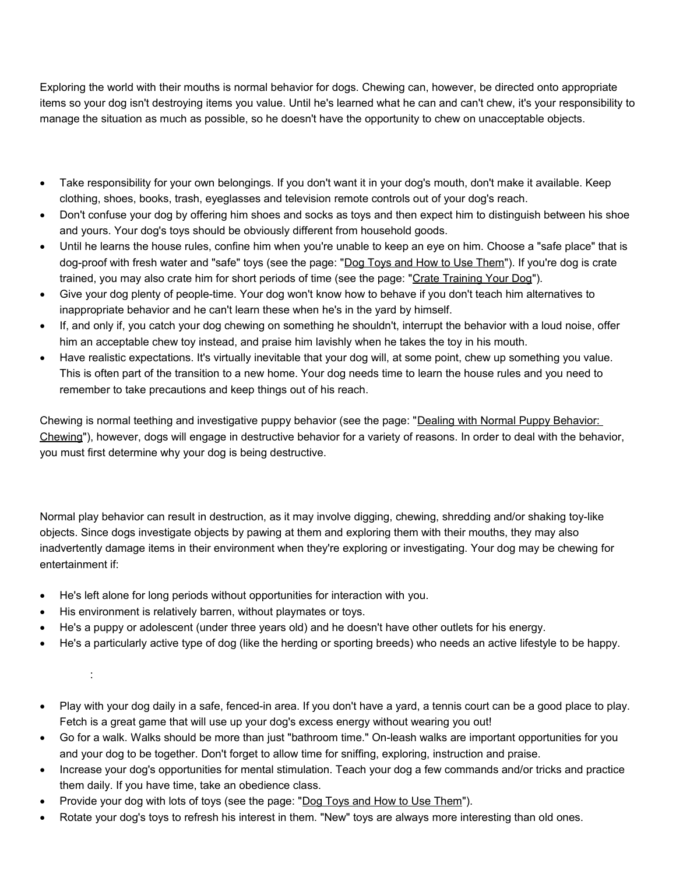Exploring the world with their mouths is normal behavior for dogs. Chewing can, however, be directed onto appropriate items so your dog isn't destroying items you value. Until he's learned what he can and can't chew, it's your responsibility to manage the situation as much as possible, so he doesn't have the opportunity to chew on unacceptable objects.

- Take responsibility for your own belongings. If you don't want it in your dog's mouth, don't make it available. Keep clothing, shoes, books, trash, eyeglasses and television remote controls out of your dog's reach.
- Don't confuse your dog by offering him shoes and socks as toys and then expect him to distinguish between his shoe and yours. Your dog's toys should be obviously different from household goods.
- Until he learns the house rules, confine him when you're unable to keep an eye on him. Choose a "safe place" that is dog-proof with fresh water and "safe" toys (see the page: ["Dog Toys and How to Use Them"](http://www.idahohumanesociety.org/caretrainingtips.cfm?filename=dogtoys)). If you're dog is crate trained, you may also crate him for short periods of time (see the page: ["Crate Training Your Dog"](http://www.idahohumanesociety.org/caretrainingtips.cfm?filename=crate)).
- Give your dog plenty of people-time. Your dog won't know how to behave if you don't teach him alternatives to inappropriate behavior and he can't learn these when he's in the yard by himself.
- If, and only if, you catch your dog chewing on something he shouldn't, interrupt the behavior with a loud noise, offer him an acceptable chew toy instead, and praise him lavishly when he takes the toy in his mouth.
- Have realistic expectations. It's virtually inevitable that your dog will, at some point, chew up something you value. This is often part of the transition to a new home. Your dog needs time to learn the house rules and you need to remember to take precautions and keep things out of his reach.

Chewing is normal teething and investigative puppy behavior (see the page: ["Dealing with Normal Puppy Behavior:](http://www.idahohumanesociety.org/caretrainingtips.cfm?filename=chewing)  [Chewing"](http://www.idahohumanesociety.org/caretrainingtips.cfm?filename=chewing)), however, dogs will engage in destructive behavior for a variety of reasons. In order to deal with the behavior, you must first determine why your dog is being destructive.

Normal play behavior can result in destruction, as it may involve digging, chewing, shredding and/or shaking toy-like objects. Since dogs investigate objects by pawing at them and exploring them with their mouths, they may also inadvertently damage items in their environment when they're exploring or investigating. Your dog may be chewing for entertainment if:

- He's left alone for long periods without opportunities for interaction with you.
- His environment is relatively barren, without playmates or toys.
- He's a puppy or adolescent (under three years old) and he doesn't have other outlets for his energy.
- He's a particularly active type of dog (like the herding or sporting breeds) who needs an active lifestyle to be happy.

: 100 minutes

- Play with your dog daily in a safe, fenced-in area. If you don't have a yard, a tennis court can be a good place to play. Fetch is a great game that will use up your dog's excess energy without wearing you out!
- Go for a walk. Walks should be more than just "bathroom time." On-leash walks are important opportunities for you and your dog to be together. Don't forget to allow time for sniffing, exploring, instruction and praise.
- Increase your dog's opportunities for mental stimulation. Teach your dog a few commands and/or tricks and practice them daily. If you have time, take an obedience class.
- Provide your dog with lots of toys (see the page: ["Dog Toys and How to Use Them"](http://www.idahohumanesociety.org/caretrainingtips.cfm?filename=dogtoys)).
- Rotate your dog's toys to refresh his interest in them. "New" toys are always more interesting than old ones.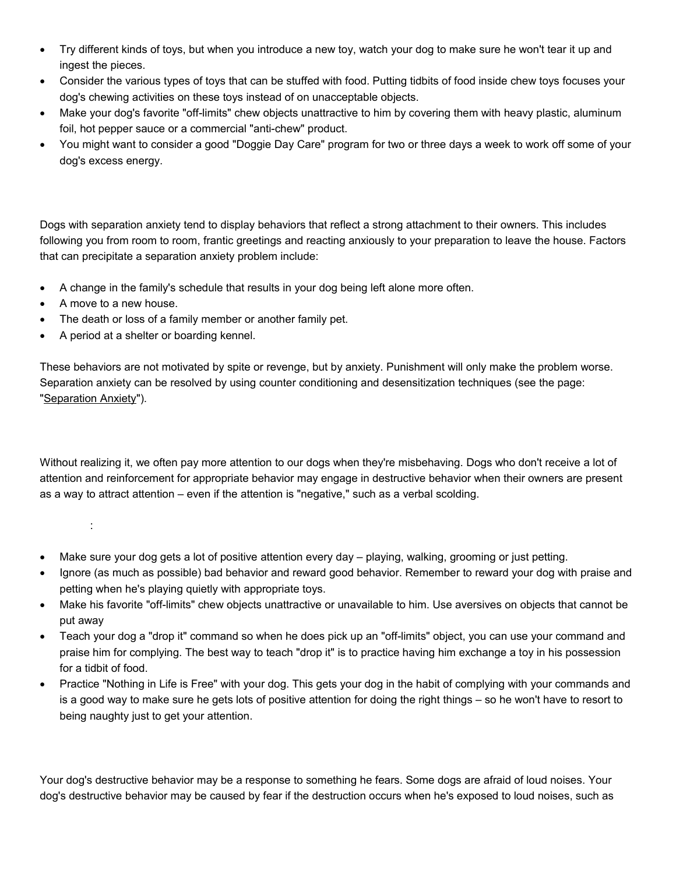- Try different kinds of toys, but when you introduce a new toy, watch your dog to make sure he won't tear it up and ingest the pieces.
- Consider the various types of toys that can be stuffed with food. Putting tidbits of food inside chew toys focuses your dog's chewing activities on these toys instead of on unacceptable objects.
- Make your dog's favorite "off-limits" chew objects unattractive to him by covering them with heavy plastic, aluminum foil, hot pepper sauce or a commercial "anti-chew" product.
- You might want to consider a good "Doggie Day Care" program for two or three days a week to work off some of your dog's excess energy.

!-

Dogs with separation anxiety tend to display behaviors that reflect a strong attachment to their owners. This includes following you from room to room, frantic greetings and reacting anxiously to your preparation to leave the house. Factors that can precipitate a separation anxiety problem include:

- A change in the family's schedule that results in your dog being left alone more often.
- A move to a new house.
- The death or loss of a family member or another family pet.
- A period at a shelter or boarding kennel.

These behaviors are not motivated by spite or revenge, but by anxiety. Punishment will only make the problem worse. Separation anxiety can be resolved by using counter conditioning and desensitization techniques (see the page: ["Separation Anxiety"](http://www.idahohumanesociety.org/caretrainingtips.cfm?filename=separation)).

"-

Without realizing it, we often pay more attention to our dogs when they're misbehaving. Dogs who don't receive a lot of attention and reinforcement for appropriate behavior may engage in destructive behavior when their owners are present as a way to attract attention – even if the attention is "negative," such as a verbal scolding.

: 1999 - 1999 - 1999

- Make sure your dog gets a lot of positive attention every day playing, walking, grooming or just petting.
- Ignore (as much as possible) bad behavior and reward good behavior. Remember to reward your dog with praise and petting when he's playing quietly with appropriate toys.
- Make his favorite "off-limits" chew objects unattractive or unavailable to him. Use aversives on objects that cannot be put away
- Teach your dog a "drop it" command so when he does pick up an "off-limits" object, you can use your command and praise him for complying. The best way to teach "drop it" is to practice having him exchange a toy in his possession for a tidbit of food.
- Practice "Nothing in Life is Free" with your dog. This gets your dog in the habit of complying with your commands and is a good way to make sure he gets lots of positive attention for doing the right things – so he won't have to resort to being naughty just to get your attention.

## #-\$

Your dog's destructive behavior may be a response to something he fears. Some dogs are afraid of loud noises. Your dog's destructive behavior may be caused by fear if the destruction occurs when he's exposed to loud noises, such as